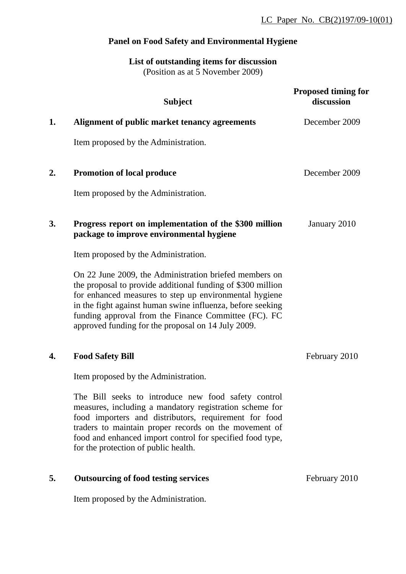# **Panel on Food Safety and Environmental Hygiene**

**List of outstanding items for discussion** (Position as at 5 November 2009)

|    | <b>Subject</b>                                                                                                                                                                                                                                                                                                                                              | <b>Proposed timing for</b><br>discussion |
|----|-------------------------------------------------------------------------------------------------------------------------------------------------------------------------------------------------------------------------------------------------------------------------------------------------------------------------------------------------------------|------------------------------------------|
| 1. | Alignment of public market tenancy agreements                                                                                                                                                                                                                                                                                                               | December 2009                            |
|    | Item proposed by the Administration.                                                                                                                                                                                                                                                                                                                        |                                          |
| 2. | <b>Promotion of local produce</b>                                                                                                                                                                                                                                                                                                                           | December 2009                            |
|    | Item proposed by the Administration.                                                                                                                                                                                                                                                                                                                        |                                          |
| 3. | Progress report on implementation of the \$300 million<br>package to improve environmental hygiene                                                                                                                                                                                                                                                          | January 2010                             |
|    | Item proposed by the Administration.                                                                                                                                                                                                                                                                                                                        |                                          |
|    | On 22 June 2009, the Administration briefed members on<br>the proposal to provide additional funding of \$300 million<br>for enhanced measures to step up environmental hygiene<br>in the fight against human swine influenza, before seeking<br>funding approval from the Finance Committee (FC). FC<br>approved funding for the proposal on 14 July 2009. |                                          |
| 4. | <b>Food Safety Bill</b>                                                                                                                                                                                                                                                                                                                                     | February 2010                            |
|    | Item proposed by the Administration.                                                                                                                                                                                                                                                                                                                        |                                          |
|    | The Bill seeks to introduce new food safety control<br>measures, including a mandatory registration scheme for<br>food importers and distributors, requirement for food<br>traders to maintain proper records on the movement of<br>food and enhanced import control for specified food type,<br>for the protection of public health.                       |                                          |
| 5. | <b>Outsourcing of food testing services</b>                                                                                                                                                                                                                                                                                                                 | February 2010                            |

Item proposed by the Administration.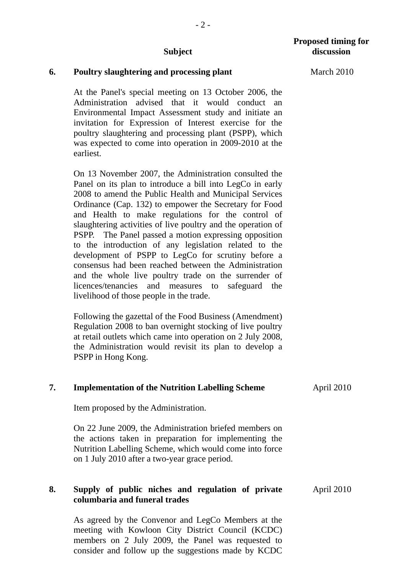- 2 -

#### **6. Poultry slaughtering and processing plant**

At the Panel's special meeting on 13 October 2006, the Administration advised that it would conduct an Environmental Impact Assessment study and initiate an invitation for Expression of Interest exercise for the poultry slaughtering and processing plant (PSPP), which was expected to come into operation in 2009-2010 at the earliest.

On 13 November 2007, the Administration consulted the Panel on its plan to introduce a bill into LegCo in early 2008 to amend the Public Health and Municipal Services Ordinance (Cap. 132) to empower the Secretary for Food and Health to make regulations for the control of slaughtering activities of live poultry and the operation of PSPP. The Panel passed a motion expressing opposition to the introduction of any legislation related to the development of PSPP to LegCo for scrutiny before a consensus had been reached between the Administration and the whole live poultry trade on the surrender of licences/tenancies and measures to safeguard the livelihood of those people in the trade.

Following the gazettal of the Food Business (Amendment) Regulation 2008 to ban overnight stocking of live poultry at retail outlets which came into operation on 2 July 2008, the Administration would revisit its plan to develop a PSPP in Hong Kong.

#### **7. Implementation of the Nutrition Labelling Scheme**

Item proposed by the Administration.

On 22 June 2009, the Administration briefed members on the actions taken in preparation for implementing the Nutrition Labelling Scheme, which would come into force on 1 July 2010 after a two-year grace period.

#### **8. Supply of public niches and regulation of private columbaria and funeral trades**

As agreed by the Convenor and LegCo Members at the meeting with Kowloon City District Council (KCDC) members on 2 July 2009, the Panel was requested to consider and follow up the suggestions made by KCDC

March 2010

April 2010

April 2010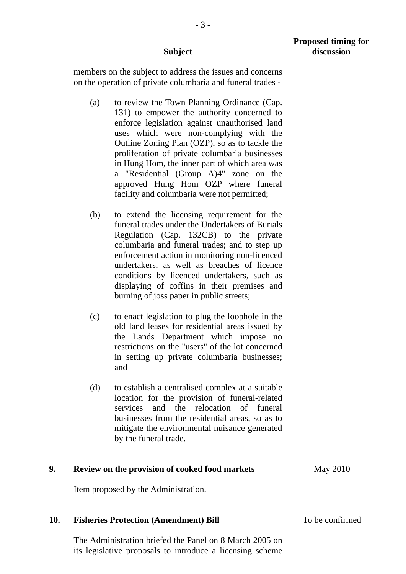members on the subject to address the issues and concerns on the operation of private columbaria and funeral trades -

- (a) to review the Town Planning Ordinance (Cap. 131) to empower the authority concerned to enforce legislation against unauthorised land uses which were non-complying with the Outline Zoning Plan (OZP), so as to tackle the proliferation of private columbaria businesses in Hung Hom, the inner part of which area was a "Residential (Group A)4" zone on the approved Hung Hom OZP where funeral facility and columbaria were not permitted;
- (b) to extend the licensing requirement for the funeral trades under the Undertakers of Burials Regulation (Cap. 132CB) to the private columbaria and funeral trades; and to step up enforcement action in monitoring non-licenced undertakers, as well as breaches of licence conditions by licenced undertakers, such as displaying of coffins in their premises and burning of joss paper in public streets;
- (c) to enact legislation to plug the loophole in the old land leases for residential areas issued by the Lands Department which impose no restrictions on the "users" of the lot concerned in setting up private columbaria businesses; and
- (d) to establish a centralised complex at a suitable location for the provision of funeral-related services and the relocation of funeral businesses from the residential areas, so as to mitigate the environmental nuisance generated by the funeral trade.

# **9. Review on the provision of cooked food markets** Item proposed by the Administration. May 2010 **10. Fisheries Protection (Amendment) Bill**  The Administration briefed the Panel on 8 March 2005 on To be confirmed

its legislative proposals to introduce a licensing scheme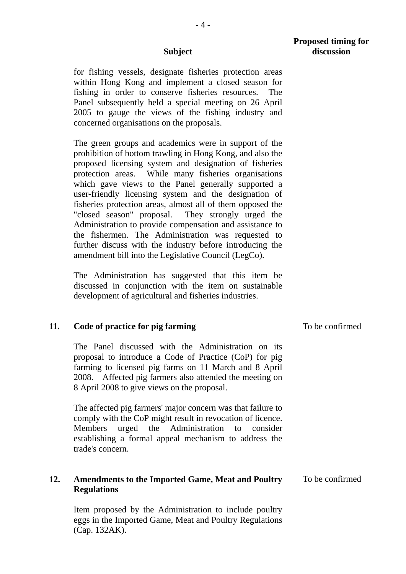$-4-$ 

## **Proposed timing for discussion**

**Subject** 

for fishing vessels, designate fisheries protection areas within Hong Kong and implement a closed season for fishing in order to conserve fisheries resources. The Panel subsequently held a special meeting on 26 April 2005 to gauge the views of the fishing industry and concerned organisations on the proposals.

The green groups and academics were in support of the prohibition of bottom trawling in Hong Kong, and also the proposed licensing system and designation of fisheries protection areas. While many fisheries organisations which gave views to the Panel generally supported a user-friendly licensing system and the designation of fisheries protection areas, almost all of them opposed the "closed season" proposal. They strongly urged the Administration to provide compensation and assistance to the fishermen. The Administration was requested to further discuss with the industry before introducing the amendment bill into the Legislative Council (LegCo).

 The Administration has suggested that this item be discussed in conjunction with the item on sustainable development of agricultural and fisheries industries.

#### **11. Code of practice for pig farming**

The Panel discussed with the Administration on its proposal to introduce a Code of Practice (CoP) for pig farming to licensed pig farms on 11 March and 8 April 2008. Affected pig farmers also attended the meeting on 8 April 2008 to give views on the proposal.

The affected pig farmers' major concern was that failure to comply with the CoP might result in revocation of licence. Members urged the Administration to consider establishing a formal appeal mechanism to address the trade's concern.

#### **12. Amendments to the Imported Game, Meat and Poultry Regulations**  To be confirmed

Item proposed by the Administration to include poultry eggs in the Imported Game, Meat and Poultry Regulations (Cap. 132AK).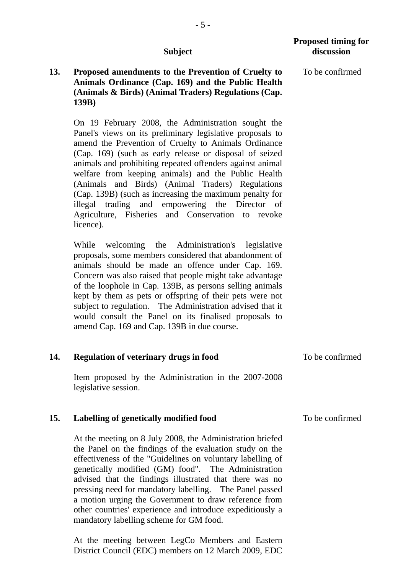# **13. Proposed amendments to the Prevention of Cruelty to Animals Ordinance (Cap. 169) and the Public Health (Animals & Birds) (Animal Traders) Regulations (Cap. 139B)**

On 19 February 2008, the Administration sought the Panel's views on its preliminary legislative proposals to amend the Prevention of Cruelty to Animals Ordinance (Cap. 169) (such as early release or disposal of seized animals and prohibiting repeated offenders against animal welfare from keeping animals) and the Public Health (Animals and Birds) (Animal Traders) Regulations (Cap. 139B) (such as increasing the maximum penalty for illegal trading and empowering the Director of Agriculture, Fisheries and Conservation to revoke licence).

While welcoming the Administration's legislative proposals, some members considered that abandonment of animals should be made an offence under Cap. 169. Concern was also raised that people might take advantage of the loophole in Cap. 139B, as persons selling animals kept by them as pets or offspring of their pets were not subject to regulation. The Administration advised that it would consult the Panel on its finalised proposals to amend Cap. 169 and Cap. 139B in due course.

| 14. | Regulation of veterinary drugs in food               | To be confirmed |
|-----|------------------------------------------------------|-----------------|
|     | Item proposed by the Administration in the 2007-2008 |                 |

Item proposed by the Administration in the 2007-2008 legislative session.

#### **15. Labelling of genetically modified food**  To be confirmed

At the meeting on 8 July 2008, the Administration briefed the Panel on the findings of the evaluation study on the effectiveness of the "Guidelines on voluntary labelling of genetically modified (GM) food". The Administration advised that the findings illustrated that there was no pressing need for mandatory labelling. The Panel passed a motion urging the Government to draw reference from other countries' experience and introduce expeditiously a mandatory labelling scheme for GM food.

At the meeting between LegCo Members and Eastern District Council (EDC) members on 12 March 2009, EDC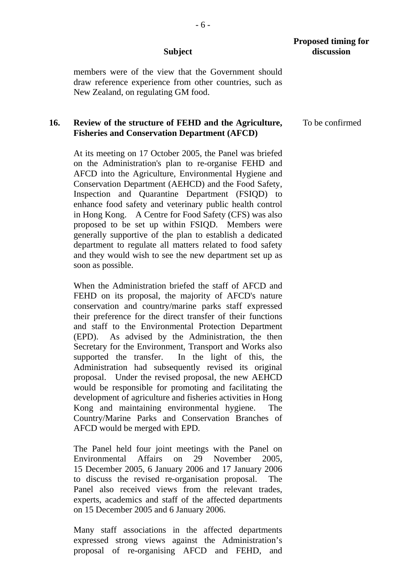members were of the view that the Government should draw reference experience from other countries, such as New Zealand, on regulating GM food.

#### **16. Review of the structure of FEHD and the Agriculture, Fisheries and Conservation Department (AFCD)**

At its meeting on 17 October 2005, the Panel was briefed on the Administration's plan to re-organise FEHD and AFCD into the Agriculture, Environmental Hygiene and Conservation Department (AEHCD) and the Food Safety, Inspection and Quarantine Department (FSIQD) to enhance food safety and veterinary public health control in Hong Kong. A Centre for Food Safety (CFS) was also proposed to be set up within FSIQD. Members were generally supportive of the plan to establish a dedicated department to regulate all matters related to food safety and they would wish to see the new department set up as soon as possible.

When the Administration briefed the staff of AFCD and FEHD on its proposal, the majority of AFCD's nature conservation and country/marine parks staff expressed their preference for the direct transfer of their functions and staff to the Environmental Protection Department (EPD). As advised by the Administration, the then Secretary for the Environment, Transport and Works also supported the transfer. In the light of this, the Administration had subsequently revised its original proposal. Under the revised proposal, the new AEHCD would be responsible for promoting and facilitating the development of agriculture and fisheries activities in Hong Kong and maintaining environmental hygiene. The Country/Marine Parks and Conservation Branches of AFCD would be merged with EPD.

The Panel held four joint meetings with the Panel on Environmental Affairs on 29 November 2005, 15 December 2005, 6 January 2006 and 17 January 2006 to discuss the revised re-organisation proposal. The Panel also received views from the relevant trades, experts, academics and staff of the affected departments on 15 December 2005 and 6 January 2006.

Many staff associations in the affected departments expressed strong views against the Administration's proposal of re-organising AFCD and FEHD, and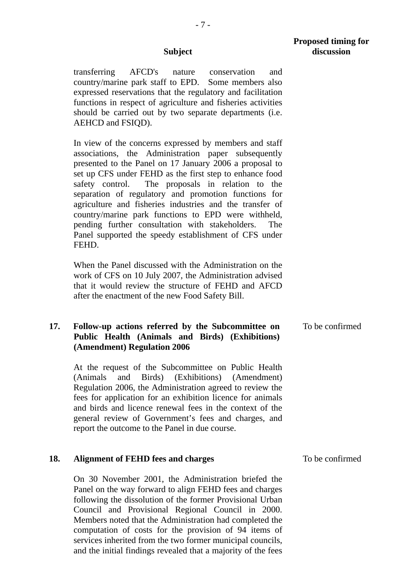transferring AFCD's nature conservation and country/marine park staff to EPD. Some members also expressed reservations that the regulatory and facilitation functions in respect of agriculture and fisheries activities should be carried out by two separate departments (i.e. AEHCD and FSIQD).

In view of the concerns expressed by members and staff associations, the Administration paper subsequently presented to the Panel on 17 January 2006 a proposal to set up CFS under FEHD as the first step to enhance food safety control. The proposals in relation to the separation of regulatory and promotion functions for agriculture and fisheries industries and the transfer of country/marine park functions to EPD were withheld, pending further consultation with stakeholders. The Panel supported the speedy establishment of CFS under FEHD.

When the Panel discussed with the Administration on the work of CFS on 10 July 2007, the Administration advised that it would review the structure of FEHD and AFCD after the enactment of the new Food Safety Bill.

#### **17. Follow-up actions referred by the Subcommittee on Public Health (Animals and Birds) (Exhibitions) (Amendment) Regulation 2006**  To be confirmed

At the request of the Subcommittee on Public Health (Animals and Birds) (Exhibitions) (Amendment) Regulation 2006, the Administration agreed to review the fees for application for an exhibition licence for animals and birds and licence renewal fees in the context of the general review of Government's fees and charges, and report the outcome to the Panel in due course.

#### **18. Alignment of FEHD fees and charges**

On 30 November 2001, the Administration briefed the Panel on the way forward to align FEHD fees and charges following the dissolution of the former Provisional Urban Council and Provisional Regional Council in 2000. Members noted that the Administration had completed the computation of costs for the provision of 94 items of services inherited from the two former municipal councils, and the initial findings revealed that a majority of the fees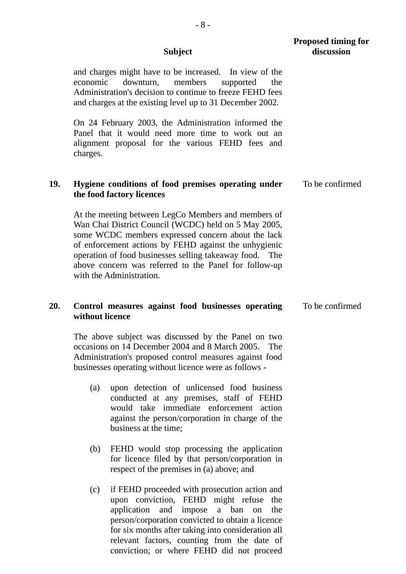|     | <b>Subject</b>  |                                                                                                                                                                                                                                                                                                                                                                            | <b>Proposed timing for</b><br>discussion |  |
|-----|-----------------|----------------------------------------------------------------------------------------------------------------------------------------------------------------------------------------------------------------------------------------------------------------------------------------------------------------------------------------------------------------------------|------------------------------------------|--|
|     | economic        | and charges might have to be increased. In view of the<br>downturn, members<br>supported<br>the<br>Administration's decision to continue to freeze FEHD fees<br>and charges at the existing level up to 31 December 2002.                                                                                                                                                  |                                          |  |
|     | charges.        | On 24 February 2003, the Administration informed the<br>Panel that it would need more time to work out an<br>alignment proposal for the various FEHD fees and                                                                                                                                                                                                              |                                          |  |
| 19. |                 | Hygiene conditions of food premises operating under<br>the food factory licences                                                                                                                                                                                                                                                                                           | To be confirmed                          |  |
|     |                 | At the meeting between LegCo Members and members of<br>Wan Chai District Council (WCDC) held on 5 May 2005,<br>some WCDC members expressed concern about the lack<br>of enforcement actions by FEHD against the unhygienic<br>operation of food businesses selling takeaway food. The<br>above concern was referred to the Panel for follow-up<br>with the Administration. |                                          |  |
| 20. | without licence | Control measures against food businesses operating                                                                                                                                                                                                                                                                                                                         | To be confirmed                          |  |
|     |                 | The above subject was discussed by the Panel on two<br>occasions on 14 December 2004 and 8 March 2005. The<br>Administration's proposed control measures against food<br>businesses operating without licence were as follows -                                                                                                                                            |                                          |  |
|     | (a)             | upon detection of unlicensed food business<br>conducted at any premises, staff of FEHD<br>would take immediate enforcement<br>action<br>against the person/corporation in charge of the<br>business at the time;                                                                                                                                                           |                                          |  |
|     | (b)             | FEHD would stop processing the application<br>for licence filed by that person/corporation in<br>respect of the premises in (a) above; and                                                                                                                                                                                                                                 |                                          |  |
|     | (c)             | if FEHD proceeded with prosecution action and<br>upon conviction, FEHD might refuse<br>the<br>and impose a ban<br>application<br>the<br>on<br>person/corporation convicted to obtain a licence<br>for six months after taking into consideration all<br>relevant factors, counting from the date of                                                                        |                                          |  |

conviction; or where FEHD did not proceed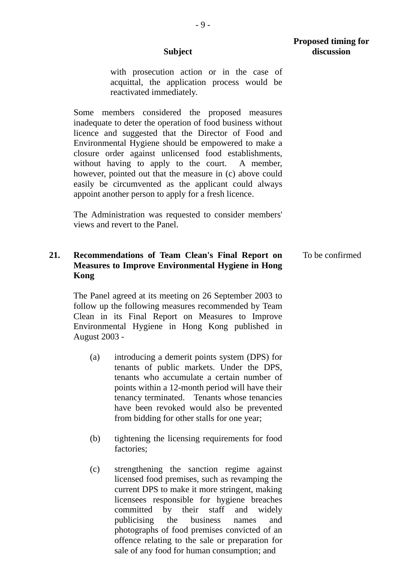- 9 -

with prosecution action or in the case of acquittal, the application process would be

reactivated immediately.

Some members considered the proposed measures inadequate to deter the operation of food business without licence and suggested that the Director of Food and Environmental Hygiene should be empowered to make a closure order against unlicensed food establishments, without having to apply to the court. A member, however, pointed out that the measure in (c) above could easily be circumvented as the applicant could always appoint another person to apply for a fresh licence.

 The Administration was requested to consider members' views and revert to the Panel.

#### **21. Recommendations of Team Clean's Final Report on Measures to Improve Environmental Hygiene in Hong Kong**  To be confirmed

 The Panel agreed at its meeting on 26 September 2003 to follow up the following measures recommended by Team Clean in its Final Report on Measures to Improve Environmental Hygiene in Hong Kong published in August 2003 -

- (a) introducing a demerit points system (DPS) for tenants of public markets. Under the DPS, tenants who accumulate a certain number of points within a 12-month period will have their tenancy terminated. Tenants whose tenancies have been revoked would also be prevented from bidding for other stalls for one year;
- (b) tightening the licensing requirements for food factories;
- (c) strengthening the sanction regime against licensed food premises, such as revamping the current DPS to make it more stringent, making licensees responsible for hygiene breaches committed by their staff and widely publicising the business names and photographs of food premises convicted of an offence relating to the sale or preparation for sale of any food for human consumption; and